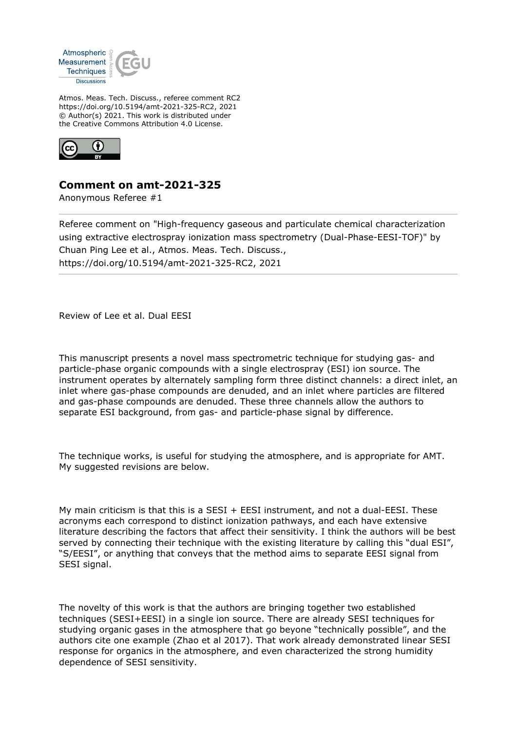

Atmos. Meas. Tech. Discuss., referee comment RC2 https://doi.org/10.5194/amt-2021-325-RC2, 2021 © Author(s) 2021. This work is distributed under the Creative Commons Attribution 4.0 License.



## **Comment on amt-2021-325**

Anonymous Referee #1

Referee comment on "High-frequency gaseous and particulate chemical characterization using extractive electrospray ionization mass spectrometry (Dual-Phase-EESI-TOF)" by Chuan Ping Lee et al., Atmos. Meas. Tech. Discuss., https://doi.org/10.5194/amt-2021-325-RC2, 2021

Review of Lee et al. Dual EESI

This manuscript presents a novel mass spectrometric technique for studying gas- and particle-phase organic compounds with a single electrospray (ESI) ion source. The instrument operates by alternately sampling form three distinct channels: a direct inlet, an inlet where gas-phase compounds are denuded, and an inlet where particles are filtered and gas-phase compounds are denuded. These three channels allow the authors to separate ESI background, from gas- and particle-phase signal by difference.

The technique works, is useful for studying the atmosphere, and is appropriate for AMT. My suggested revisions are below.

My main criticism is that this is a  $SESI + EESI$  instrument, and not a dual-EESI. These acronyms each correspond to distinct ionization pathways, and each have extensive literature describing the factors that affect their sensitivity. I think the authors will be best served by connecting their technique with the existing literature by calling this "dual ESI", "S/EESI", or anything that conveys that the method aims to separate EESI signal from SESI signal.

The novelty of this work is that the authors are bringing together two established techniques (SESI+EESI) in a single ion source. There are already SESI techniques for studying organic gases in the atmosphere that go beyone "technically possible", and the authors cite one example (Zhao et al 2017). That work already demonstrated linear SESI response for organics in the atmosphere, and even characterized the strong humidity dependence of SESI sensitivity.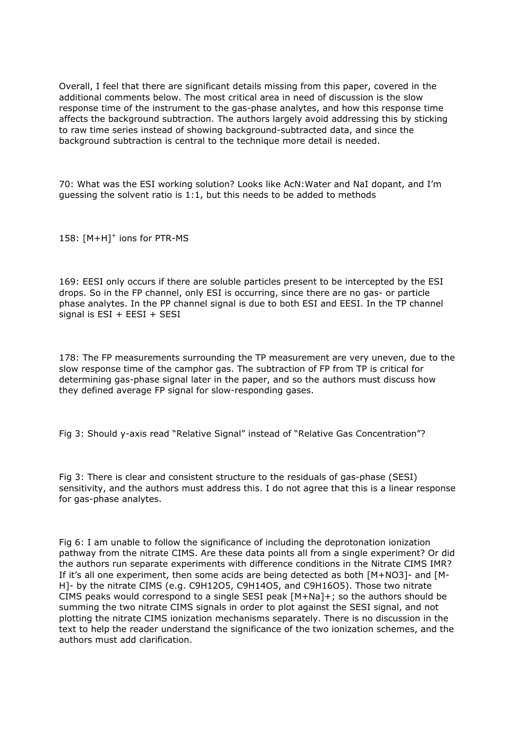Overall, I feel that there are significant details missing from this paper, covered in the additional comments below. The most critical area in need of discussion is the slow response time of the instrument to the gas-phase analytes, and how this response time affects the background subtraction. The authors largely avoid addressing this by sticking to raw time series instead of showing background-subtracted data, and since the background subtraction is central to the technique more detail is needed.

70: What was the ESI working solution? Looks like AcN:Water and NaI dopant, and I'm guessing the solvent ratio is 1:1, but this needs to be added to methods

158: [M+H]<sup>+</sup> ions for PTR-MS

169: EESI only occurs if there are soluble particles present to be intercepted by the ESI drops. So in the FP channel, only ESI is occurring, since there are no gas- or particle phase analytes. In the PP channel signal is due to both ESI and EESI. In the TP channel signal is ESI + EESI + SESI

178: The FP measurements surrounding the TP measurement are very uneven, due to the slow response time of the camphor gas. The subtraction of FP from TP is critical for determining gas-phase signal later in the paper, and so the authors must discuss how they defined average FP signal for slow-responding gases.

Fig 3: Should y-axis read "Relative Signal" instead of "Relative Gas Concentration"?

Fig 3: There is clear and consistent structure to the residuals of gas-phase (SESI) sensitivity, and the authors must address this. I do not agree that this is a linear response for gas-phase analytes.

Fig 6: I am unable to follow the significance of including the deprotonation ionization pathway from the nitrate CIMS. Are these data points all from a single experiment? Or did the authors run separate experiments with difference conditions in the Nitrate CIMS IMR? If it's all one experiment, then some acids are being detected as both [M+NO3]- and [M-H]- by the nitrate CIMS (e.g. C9H12O5, C9H14O5, and C9H16O5). Those two nitrate CIMS peaks would correspond to a single SESI peak [M+Na]+; so the authors should be summing the two nitrate CIMS signals in order to plot against the SESI signal, and not plotting the nitrate CIMS ionization mechanisms separately. There is no discussion in the text to help the reader understand the significance of the two ionization schemes, and the authors must add clarification.